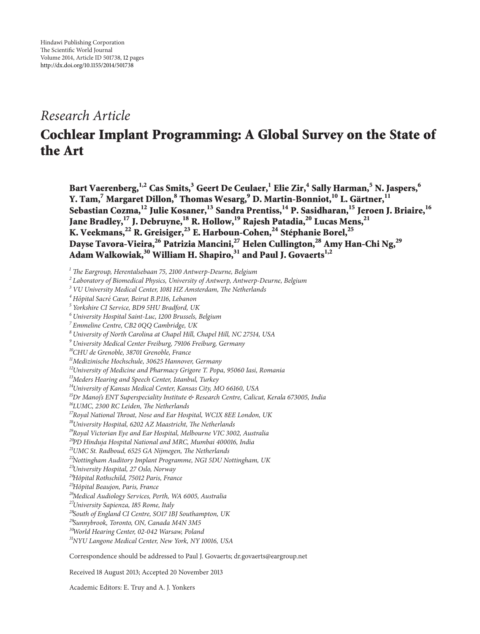# *Research Article*

# **Cochlear Implant Programming: A Global Survey on the State of the Art**

Bart Vaerenberg,<sup>1,2</sup> Cas Smits,<sup>3</sup> Geert De Ceulaer,<sup>1</sup> Elie Zir,<sup>4</sup> Sally Harman,<sup>5</sup> N. Jaspers,<sup>6</sup> **Y. Tam,7 Margaret Dillon,<sup>8</sup> Thomas Wesarg,<sup>9</sup> D. Martin-Bonniot,<sup>10</sup> L. Gärtner,11 Sebastian Cozma,12 Julie Kosaner,13 Sandra Prentiss,14 P. Sasidharan,15 Jeroen J. Briaire,<sup>16</sup> Jane Bradley,17 J. Debruyne,<sup>18</sup> R. Hollow,19 Rajesh Patadia,<sup>20</sup> Lucas Mens,21** K. Veekmans,<sup>22</sup> R. Greisiger,<sup>23</sup> E. Harboun-Cohen,<sup>24</sup> Stéphanie Borel,<sup>25</sup> Dayse Tavora-Vieira,<sup>26</sup> Patrizia Mancini,<sup>27</sup> Helen Cullington,<sup>28</sup> Amy Han-Chi Ng,<sup>29</sup> Adam Walkowiak,<sup>30</sup> William H. Shapiro,<sup>31</sup> and Paul J. Govaerts<sup>1,2</sup>

- *<sup>6</sup> University Hospital Saint-Luc, 1200 Brussels, Belgium*
- *<sup>7</sup> Emmeline Centre, CB2 0QQ Cambridge, UK*
- *<sup>8</sup> University of North Carolina at Chapel Hill, Chapel Hill, NC 27514, USA*
- *<sup>9</sup> University Medical Center Freiburg, 79106 Freiburg, Germany*
- *10CHU de Grenoble, 38701 Grenoble, France*
- *11Medizinische Hochschule, 30625 Hannover, Germany*
- *12University of Medicine and Pharmacy Grigore T. Popa, 95060 Iasi, Romania*

*13Meders Hearing and Speech Center, Istanbul, Turkey*

- *14University of Kansas Medical Center, Kansas City, MO 66160, USA*
- *15Dr Manoj's ENT Superspeciality Institute & Research Centre, Calicut, Kerala 673005, India*
- *16LUMC, 2300 RC Leiden, The Netherlands*
- *17Royal National Throat, Nose and Ear Hospital, WC1X 8EE London, UK*
- *18University Hospital, 6202 AZ Maastricht, The Netherlands*
- *19Royal Victorian Eye and Ear Hospital, Melbourne VIC 3002, Australia*
- *20PD Hinduja Hospital National and MRC, Mumbai 400016, India*
- *21UMC St. Radboud, 6525 GA Nijmegen, The Netherlands*
- *22Nottingham Auditory Implant Programme, NG1 5DU Nottingham, UK*
- *23University Hospital, 27 Oslo, Norway*
- *24Hopital Rothschild, 75012 Paris, France ˆ*
- *25Hopital Beaujon, Paris, France ˆ*
- *26Medical Audiology Services, Perth, WA 6005, Australia*
- *27University Sapienza, 185 Rome, Italy*
- *28South of England CI Centre, SO17 1BJ Southampton, UK*
- *29Sunnybrook, Toronto, ON, Canada M4N 3M5*
- *30World Hearing Center, 02-042 Warsaw, Poland*
- *31NYU Langone Medical Center, New York, NY 10016, USA*

Correspondence should be addressed to Paul J. Govaerts; dr.govaerts@eargroup.net

Received 18 August 2013; Accepted 20 November 2013

Academic Editors: E. Truy and A. J. Yonkers

*<sup>1</sup> The Eargroup, Herentalsebaan 75, 2100 Antwerp-Deurne, Belgium*

*<sup>2</sup> Laboratory of Biomedical Physics, University of Antwerp, Antwerp-Deurne, Belgium*

*<sup>3</sup> VU University Medical Center, 1081 HZ Amsterdam, The Netherlands*

<sup>&</sup>lt;sup>4</sup> *Hôpital Sacré Cœur, Beirut B.P.116, Lebanon* 

*<sup>5</sup> Yorkshire CI Service, BD9 5HU Bradford, UK*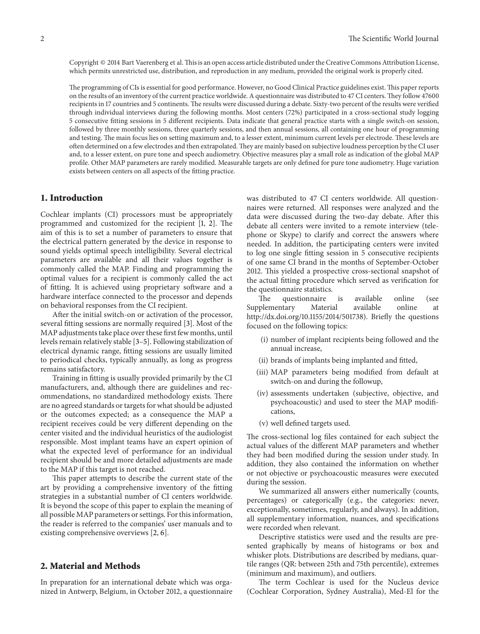Copyright © 2014 Bart Vaerenberg et al.This is an open access article distributed under the Creative Commons Attribution License, which permits unrestricted use, distribution, and reproduction in any medium, provided the original work is properly cited.

The programming of CIs is essential for good performance. However, no Good Clinical Practice guidelines exist. This paper reports on the results of an inventory of the current practice worldwide. A questionnaire was distributed to 47 CI centers.They follow 47600 recipients in 17 countries and 5 continents. The results were discussed during a debate. Sixty-two percent of the results were verified through individual interviews during the following months. Most centers (72%) participated in a cross-sectional study logging 5 consecutive fitting sessions in 5 different recipients. Data indicate that general practice starts with a single switch-on session, followed by three monthly sessions, three quarterly sessions, and then annual sessions, all containing one hour of programming and testing. The main focus lies on setting maximum and, to a lesser extent, minimum current levels per electrode. These levels are often determined on a few electrodes and then extrapolated.They are mainly based on subjective loudness perception by the CI user and, to a lesser extent, on pure tone and speech audiometry. Objective measures play a small role as indication of the global MAP profile. Other MAP parameters are rarely modified. Measurable targets are only defined for pure tone audiometry. Huge variation exists between centers on all aspects of the fitting practice.

### **1. Introduction**

Cochlear implants (CI) processors must be appropriately programmed and customized for the recipient [\[1,](#page-10-1) [2\]](#page-10-2). The aim of this is to set a number of parameters to ensure that the electrical pattern generated by the device in response to sound yields optimal speech intelligibility. Several electrical parameters are available and all their values together is commonly called the MAP. Finding and programming the optimal values for a recipient is commonly called the act of fitting. It is achieved using proprietary software and a hardware interface connected to the processor and depends on behavioral responses from the CI recipient.

After the initial switch-on or activation of the processor, several fitting sessions are normally required [\[3](#page-10-3)]. Most of the MAP adjustments take place over these first few months, until levels remain relatively stable [\[3](#page-10-3)[–5\]](#page-11-0). Following stabilization of electrical dynamic range, fitting sessions are usually limited to periodical checks, typically annually, as long as progress remains satisfactory.

Training in fitting is usually provided primarily by the CI manufacturers, and, although there are guidelines and recommendations, no standardized methodology exists. There are no agreed standards or targets for what should be adjusted or the outcomes expected; as a consequence the MAP a recipient receives could be very different depending on the center visited and the individual heuristics of the audiologist responsible. Most implant teams have an expert opinion of what the expected level of performance for an individual recipient should be and more detailed adjustments are made to the MAP if this target is not reached.

This paper attempts to describe the current state of the art by providing a comprehensive inventory of the fitting strategies in a substantial number of CI centers worldwide. It is beyond the scope of this paper to explain the meaning of all possible MAP parameters or settings. For this information, the reader is referred to the companies' user manuals and to existing comprehensive overviews [\[2](#page-10-2), [6\]](#page-11-1).

#### **2. Material and Methods**

In preparation for an international debate which was organized in Antwerp, Belgium, in October 2012, a questionnaire was distributed to 47 CI centers worldwide. All questionnaires were returned. All responses were analyzed and the data were discussed during the two-day debate. After this debate all centers were invited to a remote interview (telephone or Skype) to clarify and correct the answers where needed. In addition, the participating centers were invited to log one single fitting session in 5 consecutive recipients of one same CI brand in the months of September-October 2012. This yielded a prospective cross-sectional snapshot of the actual fitting procedure which served as verification for the questionnaire statistics.

The questionnaire is available online (see Supplementary Material available online at http://dx.doi.org/10.1155/2014/501738). Briefly the questions focused on the following topics:

- (i) number of implant recipients being followed and the annual increase,
- (ii) brands of implants being implanted and fitted,
- (iii) MAP parameters being modified from default at switch-on and during the followup,
- (iv) assessments undertaken (subjective, objective, and psychoacoustic) and used to steer the MAP modifications,
- (v) well defined targets used.

The cross-sectional log files contained for each subject the actual values of the different MAP parameters and whether they had been modified during the session under study. In addition, they also contained the information on whether or not objective or psychoacoustic measures were executed during the session.

We summarized all answers either numerically (counts, percentages) or categorically (e.g., the categories: never, exceptionally, sometimes, regularly, and always). In addition, all supplementary information, nuances, and specifications were recorded when relevant.

Descriptive statistics were used and the results are presented graphically by means of histograms or box and whisker plots. Distributions are described by medians, quartile ranges (QR: between 25th and 75th percentile), extremes (minimum and maximum), and outliers.

The term Cochlear is used for the Nucleus device (Cochlear Corporation, Sydney Australia), Med-El for the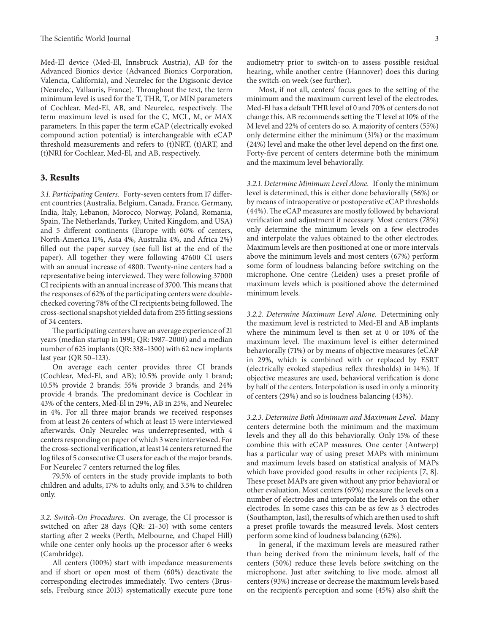Med-El device (Med-El, Innsbruck Austria), AB for the Advanced Bionics device (Advanced Bionics Corporation, Valencia, California), and Neurelec for the Digisonic device (Neurelec, Vallauris, France). Throughout the text, the term minimum level is used for the T, THR, T, or MIN parameters of Cochlear, Med-El, AB, and Neurelec, respectively. The term maximum level is used for the C, MCL, M, or MAX parameters. In this paper the term eCAP (electrically evoked compound action potential) is interchangeable with eCAP threshold measurements and refers to (t)NRT, (t)ART, and (t)NRI for Cochlear, Med-El, and AB, respectively.

#### **3. Results**

*3.1. Participating Centers.* Forty-seven centers from 17 different countries (Australia, Belgium, Canada, France, Germany, India, Italy, Lebanon, Morocco, Norway, Poland, Romania, Spain, The Netherlands, Turkey, United Kingdom, and USA) and 5 different continents (Europe with 60% of centers, North-America 11%, Asia 4%, Australia 4%, and Africa 2%) filled out the paper survey (see full list at the end of the paper). All together they were following 47600 CI users with an annual increase of 4800. Twenty-nine centers had a representative being interviewed. They were following 37000 CI recipients with an annual increase of 3700.This means that the responses of 62% of the participating centers were doublechecked covering 78% of the CI recipients being followed.The cross-sectional snapshot yielded data from 255 fitting sessions of 34 centers.

The participating centers have an average experience of 21 years (median startup in 1991; QR: 1987–2000) and a median number of 625 implants (QR: 338–1300) with 62 new implants last year (QR 50–123).

On average each center provides three CI brands (Cochlear, Med-El, and AB); 10.5% provide only 1 brand; 10.5% provide 2 brands; 55% provide 3 brands, and 24% provide 4 brands. The predominant device is Cochlear in 43% of the centers, Med-El in 29%, AB in 25%, and Neurelec in 4%. For all three major brands we received responses from at least 26 centers of which at least 15 were interviewed afterwards. Only Neurelec was underrepresented, with 4 centers responding on paper of which 3 were interviewed. For the cross-sectional verification, at least 14 centers returned the log files of 5 consecutive CI users for each of the major brands. For Neurelec 7 centers returned the log files.

79.5% of centers in the study provide implants to both children and adults, 17% to adults only, and 3.5% to children only.

*3.2. Switch-On Procedures.* On average, the CI processor is switched on after 28 days (QR: 21–30) with some centers starting after 2 weeks (Perth, Melbourne, and Chapel Hill) while one center only hooks up the processor after 6 weeks (Cambridge).

All centers (100%) start with impedance measurements and if short or open most of them (60%) deactivate the corresponding electrodes immediately. Two centers (Brussels, Freiburg since 2013) systematically execute pure tone

audiometry prior to switch-on to assess possible residual hearing, while another centre (Hannover) does this during the switch-on week (see further).

Most, if not all, centers' focus goes to the setting of the minimum and the maximum current level of the electrodes. Med-El has a default THR level of 0 and 70% of centers do not change this. AB recommends setting the T level at 10% of the M level and 22% of centers do so. A majority of centers (55%) only determine either the minimum (31%) or the maximum (24%) level and make the other level depend on the first one. Forty-five percent of centers determine both the minimum and the maximum level behaviorally.

*3.2.1. Determine Minimum Level Alone.* If only the minimum level is determined, this is either done behaviorally (56%) or by means of intraoperative or postoperative eCAP thresholds (44%).The eCAP measures are mostly followed by behavioral verification and adjustment if necessary. Most centers (78%) only determine the minimum levels on a few electrodes and interpolate the values obtained to the other electrodes. Maximum levels are then positioned at one or more intervals above the minimum levels and most centers (67%) perform some form of loudness balancing before switching on the microphone. One centre (Leiden) uses a preset profile of maximum levels which is positioned above the determined minimum levels.

*3.2.2. Determine Maximum Level Alone.* Determining only the maximum level is restricted to Med-El and AB implants where the minimum level is then set at 0 or 10% of the maximum level. The maximum level is either determined behaviorally (71%) or by means of objective measures (eCAP in 29%, which is combined with or replaced by ESRT (electrically evoked stapedius reflex thresholds) in 14%). If objective measures are used, behavioral verification is done by half of the centers. Interpolation is used in only a minority of centers (29%) and so is loudness balancing (43%).

*3.2.3. Determine Both Minimum and Maximum Level.* Many centers determine both the minimum and the maximum levels and they all do this behaviorally. Only 15% of these combine this with eCAP measures. One center (Antwerp) has a particular way of using preset MAPs with minimum and maximum levels based on statistical analysis of MAPs which have provided good results in other recipients [\[7,](#page-11-2) [8](#page-11-3)]. These preset MAPs are given without any prior behavioral or other evaluation. Most centers (69%) measure the levels on a number of electrodes and interpolate the levels on the other electrodes. In some cases this can be as few as 3 electrodes (Southampton, Iasi), the results of which are then used to shift a preset profile towards the measured levels. Most centers perform some kind of loudness balancing (62%).

In general, if the maximum levels are measured rather than being derived from the minimum levels, half of the centers (50%) reduce these levels before switching on the microphone. Just after switching to live mode, almost all centers (93%) increase or decrease the maximum levels based on the recipient's perception and some (45%) also shift the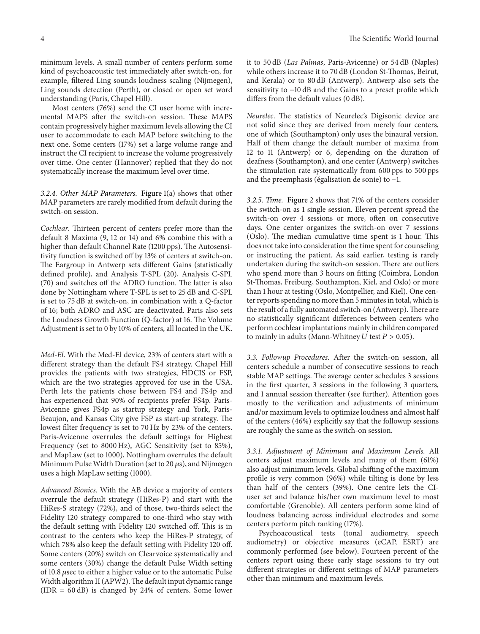minimum levels. A small number of centers perform some kind of psychoacoustic test immediately after switch-on, for example, filtered Ling sounds loudness scaling (Nijmegen), Ling sounds detection (Perth), or closed or open set word understanding (Paris, Chapel Hill).

Most centers (76%) send the CI user home with incremental MAPS after the switch-on session. These MAPS contain progressively higher maximum levels allowing the CI user to accommodate to each MAP before switching to the next one. Some centers (17%) set a large volume range and instruct the CI recipient to increase the volume progressively over time. One center (Hannover) replied that they do not systematically increase the maximum level over time.

*3.2.4. Other MAP Parameters.* [Figure 1\(](#page-4-0)a) shows that other MAP parameters are rarely modified from default during the switch-on session.

*Cochlear*. Thirteen percent of centers prefer more than the default 8 Maxima (9, 12 or 14) and 6% combine this with a higher than default Channel Rate (1200 pps). The Autosensitivity function is switched off by 13% of centers at switch-on. The Eargroup in Antwerp sets different Gains (statistically defined profile), and Analysis T-SPL (20), Analysis C-SPL (70) and switches off the ADRO function. The latter is also done by Nottingham where T-SPL is set to 25 dB and C-SPL is set to 75 dB at switch-on, in combination with a Q-factor of 16; both ADRO and ASC are deactivated. Paris also sets the Loudness Growth Function (Q-factor) at 16. The Volume Adjustment is set to 0 by 10% of centers, all located in the UK.

*Med-El*. With the Med-El device, 23% of centers start with a different strategy than the default FS4 strategy. Chapel Hill provides the patients with two strategies, HDCIS or FSP, which are the two strategies approved for use in the USA. Perth lets the patients chose between FS4 and FS4p and has experienced that 90% of recipients prefer FS4p. Paris-Avicenne gives FS4p as startup strategy and York, Paris-Beaujon, and Kansas City give FSP as start-up strategy. The lowest filter frequency is set to 70 Hz by 23% of the centers. Paris-Avicenne overrules the default settings for Highest Frequency (set to 8000 Hz), AGC Sensitivity (set to 85%), and MapLaw (set to 1000), Nottingham overrules the default Minimum Pulse Width Duration (set to 20  $\mu$ s), and Nijmegen uses a high MapLaw setting (1000).

*Advanced Bionics*. With the AB device a majority of centers overrule the default strategy (HiRes-P) and start with the HiRes-S strategy (72%), and of those, two-thirds select the Fidelity 120 strategy compared to one-third who stay with the default setting with Fidelity 120 switched off. This is in contrast to the centers who keep the HiRes-P strategy, of which 78% also keep the default setting with Fidelity 120 off. Some centers (20%) switch on Clearvoice systematically and some centers (30%) change the default Pulse Width setting of 10.8  $\mu$ sec to either a higher value or to the automatic Pulse Width algorithm II (APW2). The default input dynamic range  $(IDR = 60 dB)$  is changed by 24% of centers. Some lower

it to 50 dB (*Las Palmas*, Paris-Avicenne) or 54 dB (Naples) while others increase it to 70 dB (London St-Thomas, Beirut, and Kerala) or to 80 dB (Antwerp). Antwerp also sets the sensitivity to −10 dB and the Gains to a preset profile which differs from the default values (0 dB).

*Neurelec*. The statistics of Neurelec's Digisonic device are not solid since they are derived from merely four centers, one of which (Southampton) only uses the binaural version. Half of them change the default number of maxima from 12 to 11 (Antwerp) or 6, depending on the duration of deafness (Southampton), and one center (Antwerp) switches the stimulation rate systematically from 600 pps to 500 pps and the preemphasis (égalisation de sonie) to  $-1$ .

*3.2.5. Time.* [Figure 2](#page-5-0) shows that 71% of the centers consider the switch-on as 1 single session. Eleven percent spread the switch-on over 4 sessions or more, often on consecutive days. One center organizes the switch-on over 7 sessions (Oslo). The median cumulative time spent is 1 hour. This does not take into consideration the time spent for counseling or instructing the patient. As said earlier, testing is rarely undertaken during the switch-on session. There are outliers who spend more than 3 hours on fitting (Coimbra, London St-Thomas, Freiburg, Southampton, Kiel, and Oslo) or more than 1 hour at testing (Oslo, Montpellier, and Kiel). One center reports spending no more than 5 minutes in total, which is the result of a fully automated switch-on (Antwerp). There are no statistically significant differences between centers who perform cochlear implantations mainly in children compared to mainly in adults (Mann-Whitney  $U$  test  $P > 0.05$ ).

*3.3. Followup Procedures.* After the switch-on session, all centers schedule a number of consecutive sessions to reach stable MAP settings. The average center schedules 3 sessions in the first quarter, 3 sessions in the following 3 quarters, and 1 annual session thereafter (see further). Attention goes mostly to the verification and adjustments of minimum and/or maximum levels to optimize loudness and almost half of the centers (46%) explicitly say that the followup sessions are roughly the same as the switch-on session.

*3.3.1. Adjustment of Minimum and Maximum Levels.* All centers adjust maximum levels and many of them (61%) also adjust minimum levels. Global shifting of the maximum profile is very common (96%) while tilting is done by less than half of the centers (39%). One centre lets the CIuser set and balance his/her own maximum level to most comfortable (Grenoble). All centers perform some kind of loudness balancing across individual electrodes and some centers perform pitch ranking (17%).

Psychoacoustical tests (tonal audiometry, speech audiometry) or objective measures (eCAP, ESRT) are commonly performed (see below). Fourteen percent of the centers report using these early stage sessions to try out different strategies or different settings of MAP parameters other than minimum and maximum levels.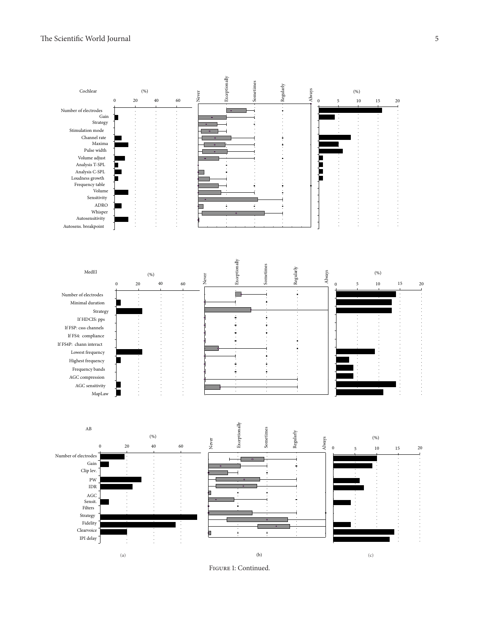

<span id="page-4-0"></span>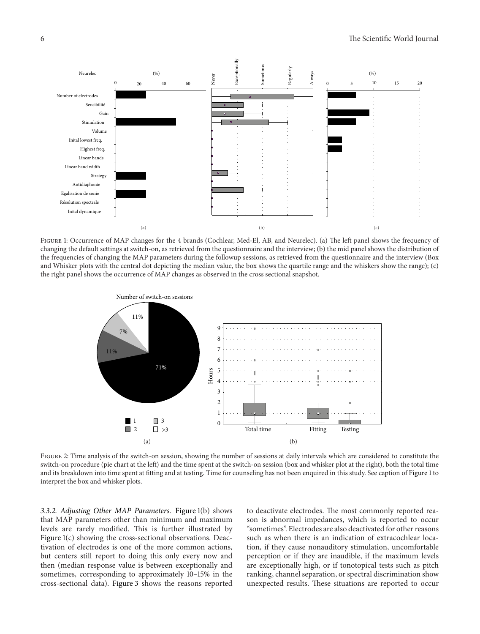

FIGURE 1: Occurrence of MAP changes for the 4 brands (Cochlear, Med-El, AB, and Neurelec). (a) The left panel shows the frequency of changing the default settings at switch-on, as retrieved from the questionnaire and the interview; (b) the mid panel shows the distribution of the frequencies of changing the MAP parameters during the followup sessions, as retrieved from the questionnaire and the interview (Box and Whisker plots with the central dot depicting the median value, the box shows the quartile range and the whiskers show the range); (c) the right panel shows the occurrence of MAP changes as observed in the cross sectional snapshot.



<span id="page-5-0"></span>Figure 2: Time analysis of the switch-on session, showing the number of sessions at daily intervals which are considered to constitute the switch-on procedure (pie chart at the left) and the time spent at the switch-on session (box and whisker plot at the right), both the total time and its breakdown into time spent at fitting and at testing. Time for counseling has not been enquired in this study. See caption of [Figure 1](#page-4-0) to interpret the box and whisker plots.

*3.3.2. Adjusting Other MAP Parameters.* [Figure 1\(](#page-4-0)b) shows that MAP parameters other than minimum and maximum levels are rarely modified. This is further illustrated by [Figure 1\(](#page-4-0)c) showing the cross-sectional observations. Deactivation of electrodes is one of the more common actions, but centers still report to doing this only every now and then (median response value is between exceptionally and sometimes, corresponding to approximately 10–15% in the cross-sectional data). [Figure 3](#page-6-0) shows the reasons reported to deactivate electrodes. The most commonly reported reason is abnormal impedances, which is reported to occur "sometimes". Electrodes are also deactivated for other reasons such as when there is an indication of extracochlear location, if they cause nonauditory stimulation, uncomfortable perception or if they are inaudible, if the maximum levels are exceptionally high, or if tonotopical tests such as pitch ranking, channel separation, or spectral discrimination show unexpected results. These situations are reported to occur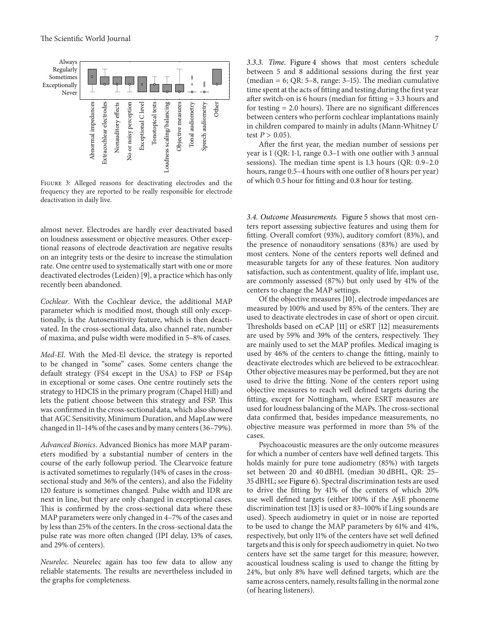

<span id="page-6-0"></span>Figure 3: Alleged reasons for deactivating electrodes and the frequency they are reported to be really responsible for electrode deactivation in daily live.

almost never. Electrodes are hardly ever deactivated based on loudness assessment or objective measures. Other exceptional reasons of electrode deactivation are negative results on an integrity tests or the desire to increase the stimulation rate. One centre used to systematically start with one or more deactivated electrodes (Leiden) [\[9](#page-11-4)], a practice which has only recently been abandoned.

*Cochlear*. With the Cochlear device, the additional MAP parameter which is modified most, though still only exceptionally, is the Autosensitivity feature, which is then deactivated. In the cross-sectional data, also channel rate, number of maxima, and pulse width were modified in 5–8% of cases.

*Med-El*. With the Med-El device, the strategy is reported to be changed in "some" cases. Some centers change the default strategy (FS4 except in the USA) to FSP or FS4p in exceptional or some cases. One centre routinely sets the strategy to HDCIS in the primary program (Chapel Hill) and lets the patient choose between this strategy and FSP. This was confirmed in the cross-sectional data, which also showed that AGC Sensitivity, Minimum Duration, and MapLaw were changed in 11–14% of the cases and by many centers (36–79%).

*Advanced Bionics*. Advanced Bionics has more MAP parameters modified by a substantial number of centers in the course of the early followup period. The Clearvoice feature is activated sometimes to regularly (14% of cases in the crosssectional study and 36% of the centers), and also the Fidelity 120 feature is sometimes changed. Pulse width and IDR are next in line, but they are only changed in exceptional cases. This is confirmed by the cross-sectional data where these MAP parameters were only changed in 4–7% of the cases and by less than 25% of the centers. In the cross-sectional data the pulse rate was more often changed (IPI delay, 13% of cases, and 29% of centers).

*Neurelec*. Neurelec again has too few data to allow any reliable statements. The results are nevertheless included in the graphs for completeness.

*3.3.3. Time.* [Figure 4](#page-7-0) shows that most centers schedule between 5 and 8 additional sessions during the first year (median = 6; QR: 5–8, range: 3–15). The median cumulative time spent at the acts of fitting and testing during the first year after switch-on is 6 hours (median for fitting = 3.3 hours and for testing = 2.0 hours). There are no significant differences between centers who perform cochlear implantations mainly in children compared to mainly in adults (Mann-Whitney  $U$ test  $P > 0.05$ ).

After the first year, the median number of sessions per year is 1 (QR: 1-1, range 0.3–1 with one outlier with 3 annual sessions). The median time spent is 1.3 hours (QR: 0.9–2.0 hours, range 0.5–4 hours with one outlier of 8 hours per year) of which 0.5 hour for fitting and 0.8 hour for testing.

*3.4. Outcome Measurements.* [Figure 5](#page-7-1) shows that most centers report assessing subjective features and using them for fitting. Overall comfort (93%), auditory comfort (83%), and the presence of nonauditory sensations (83%) are used by most centers. None of the centers reports well defined and measurable targets for any of these features. Non auditory satisfaction, such as contentment, quality of life, implant use, are commonly assessed (87%) but only used by 41% of the centers to change the MAP settings.

Of the objective measures [\[10](#page-11-5)], electrode impedances are measured by 100% and used by 85% of the centers. They are used to deactivate electrodes in case of short or open circuit. Thresholds based on eCAP [\[11](#page-11-6)] or eSRT [\[12\]](#page-11-7) measurements are used by 59% and 39% of the centers, respectively. They are mainly used to set the MAP profiles. Medical imaging is used by 46% of the centers to change the fitting, mainly to deactivate electrodes which are believed to be extracochlear. Other objective measures may be performed, but they are not used to drive the fitting. None of the centers report using objective measures to reach well defined targets during the fitting, except for Nottingham, where ESRT measures are used for loudness balancing of the MAPs. The cross-sectional data confirmed that, besides impedance measurements, no objective measure was performed in more than 5% of the cases.

Psychoacoustic measures are the only outcome measures for which a number of centers have well defined targets. This holds mainly for pure tone audiometry (85%) with targets set between 20 and 40 dBHL (median 30 dBHL, QR: 25– 35 dBHL; see [Figure 6\)](#page-7-2). Spectral discrimination tests are used to drive the fitting by 41% of the centers of which 20% use well defined targets (either 100% if the A§E phoneme discrimination test [\[13\]](#page-11-8) is used or 83–100% if Ling sounds are used). Speech audiometry in quiet or in noise are reported to be used to change the MAP parameters by 61% and 41%, respectively, but only 11% of the centers have set well defined targets and this is only for speech audiometry in quiet. No two centers have set the same target for this measure; however, acoustical loudness scaling is used to change the fitting by 24%, but only 8% have well defined targets, which are the same across centers, namely, results falling in the normal zone (of hearing listeners).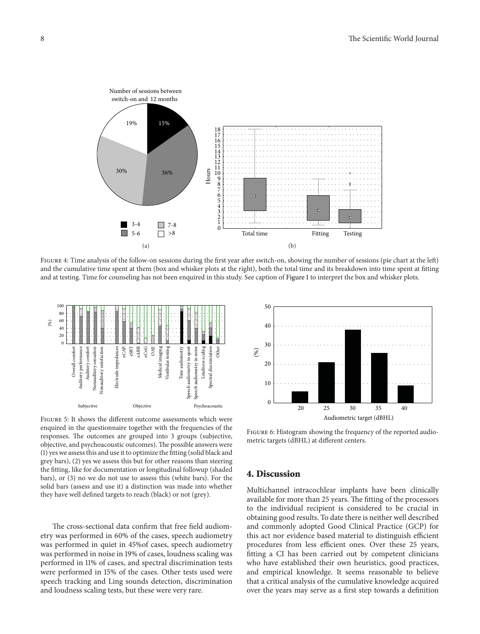

<span id="page-7-0"></span>FIGURE 4: Time analysis of the follow-on sessions during the first year after switch-on, showing the number of sessions (pie chart at the left) and the cumulative time spent at them (box and whisker plots at the right), both the total time and its breakdown into time spent at fitting and at testing. Time for counseling has not been enquired in this study. See caption of [Figure 1](#page-4-0) to interpret the box and whisker plots.



<span id="page-7-1"></span>Figure 5: It shows the different outcome assessments which were enquired in the questionnaire together with the frequencies of the responses. The outcomes are grouped into 3 groups (subjective, objective, and psychoacoustic outcomes).The possible answers were (1) yes we assess this and use it to optimize the fitting (solid black and grey bars), (2) yes we assess this but for other reasons than steering the fitting, like for documentation or longitudinal followup (shaded bars), or (3) no we do not use to assess this (white bars). For the solid bars (assess and use it) a distinction was made into whether they have well defined targets to reach (black) or not (grey).

The cross-sectional data confirm that free field audiometry was performed in 60% of the cases, speech audiometry was performed in quiet in 45%of cases, speech audiometry was performed in noise in 19% of cases, loudness scaling was performed in 11% of cases, and spectral discrimination tests were performed in 15% of the cases. Other tests used were speech tracking and Ling sounds detection, discrimination and loudness scaling tests, but these were very rare.



<span id="page-7-2"></span>FIGURE 6: Histogram showing the frequency of the reported audiometric targets (dBHL) at different centers.

#### **4. Discussion**

Multichannel intracochlear implants have been clinically available for more than 25 years. The fitting of the processors to the individual recipient is considered to be crucial in obtaining good results. To date there is neither well described and commonly adopted Good Clinical Practice (GCP) for this act nor evidence based material to distinguish efficient procedures from less efficient ones. Over these 25 years, fitting a CI has been carried out by competent clinicians who have established their own heuristics, good practices, and empirical knowledge. It seems reasonable to believe that a critical analysis of the cumulative knowledge acquired over the years may serve as a first step towards a definition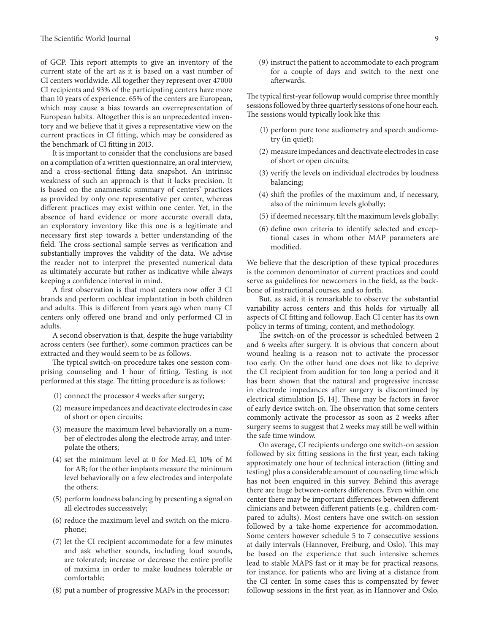of GCP. This report attempts to give an inventory of the current state of the art as it is based on a vast number of CI centers worldwide. All together they represent over 47000 CI recipients and 93% of the participating centers have more than 10 years of experience. 65% of the centers are European, which may cause a bias towards an overrepresentation of European habits. Altogether this is an unprecedented inventory and we believe that it gives a representative view on the current practices in CI fitting, which may be considered as the benchmark of CI fitting in 2013.

It is important to consider that the conclusions are based on a compilation of a written questionnaire, an oral interview, and a cross-sectional fitting data snapshot. An intrinsic weakness of such an approach is that it lacks precision. It is based on the anamnestic summary of centers' practices as provided by only one representative per center, whereas different practices may exist within one center. Yet, in the absence of hard evidence or more accurate overall data, an exploratory inventory like this one is a legitimate and necessary first step towards a better understanding of the field. The cross-sectional sample serves as verification and substantially improves the validity of the data. We advise the reader not to interpret the presented numerical data as ultimately accurate but rather as indicative while always keeping a confidence interval in mind.

A first observation is that most centers now offer 3 CI brands and perform cochlear implantation in both children and adults. This is different from years ago when many CI centers only offered one brand and only performed CI in adults.

A second observation is that, despite the huge variability across centers (see further), some common practices can be extracted and they would seem to be as follows.

The typical switch-on procedure takes one session comprising counseling and 1 hour of fitting. Testing is not performed at this stage. The fitting procedure is as follows:

- (1) connect the processor 4 weeks after surgery;
- (2) measure impedances and deactivate electrodes in case of short or open circuits;
- (3) measure the maximum level behaviorally on a number of electrodes along the electrode array, and interpolate the others;
- (4) set the minimum level at 0 for Med-El, 10% of M for AB; for the other implants measure the minimum level behaviorally on a few electrodes and interpolate the others;
- (5) perform loudness balancing by presenting a signal on all electrodes successively;
- (6) reduce the maximum level and switch on the microphone;
- (7) let the CI recipient accommodate for a few minutes and ask whether sounds, including loud sounds, are tolerated; increase or decrease the entire profile of maxima in order to make loudness tolerable or comfortable;
- (8) put a number of progressive MAPs in the processor;

(9) instruct the patient to accommodate to each program for a couple of days and switch to the next one afterwards.

The typical first-year followup would comprise three monthly sessions followed by three quarterly sessions of one hour each. The sessions would typically look like this:

- (1) perform pure tone audiometry and speech audiometry (in quiet);
- (2) measure impedances and deactivate electrodes in case of short or open circuits;
- (3) verify the levels on individual electrodes by loudness balancing;
- (4) shift the profiles of the maximum and, if necessary, also of the minimum levels globally;
- (5) if deemed necessary, tilt the maximum levels globally;
- (6) define own criteria to identify selected and exceptional cases in whom other MAP parameters are modified.

We believe that the description of these typical procedures is the common denominator of current practices and could serve as guidelines for newcomers in the field, as the backbone of instructional courses, and so forth.

But, as said, it is remarkable to observe the substantial variability across centers and this holds for virtually all aspects of CI fitting and followup. Each CI center has its own policy in terms of timing, content, and methodology.

The switch-on of the processor is scheduled between 2 and 6 weeks after surgery. It is obvious that concern about wound healing is a reason not to activate the processor too early. On the other hand one does not like to deprive the CI recipient from audition for too long a period and it has been shown that the natural and progressive increase in electrode impedances after surgery is discontinued by electrical stimulation [\[5,](#page-11-0) [14\]](#page-11-9). These may be factors in favor of early device switch-on. The observation that some centers commonly activate the processor as soon as 2 weeks after surgery seems to suggest that 2 weeks may still be well within the safe time window.

On average, CI recipients undergo one switch-on session followed by six fitting sessions in the first year, each taking approximately one hour of technical interaction (fitting and testing) plus a considerable amount of counseling time which has not been enquired in this survey. Behind this average there are huge between-centers differences. Even within one center there may be important differences between different clinicians and between different patients (e.g., children compared to adults). Most centers have one switch-on session followed by a take-home experience for accommodation. Some centers however schedule 5 to 7 consecutive sessions at daily intervals (Hannover, Freiburg, and Oslo). This may be based on the experience that such intensive schemes lead to stable MAPS fast or it may be for practical reasons, for instance, for patients who are living at a distance from the CI center. In some cases this is compensated by fewer followup sessions in the first year, as in Hannover and Oslo,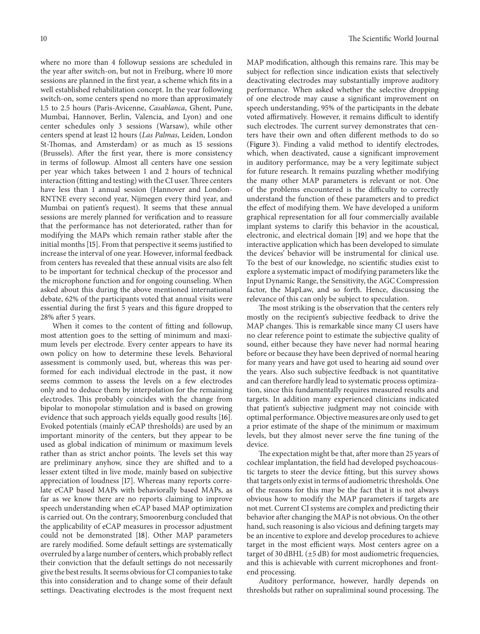where no more than 4 followup sessions are scheduled in the year after switch-on, but not in Freiburg, where 10 more sessions are planned in the first year, a scheme which fits in a well established rehabilitation concept. In the year following switch-on, some centers spend no more than approximately 1.5 to 2.5 hours (Paris-Avicenne, *Casablanca*, Ghent, Pune, Mumbai, Hannover, Berlin, Valencia, and Lyon) and one center schedules only 3 sessions (Warsaw), while other centers spend at least 12 hours (*Las Palmas*, Leiden, London St-Thomas, and Amsterdam) or as much as 15 sessions (Brussels). After the first year, there is more consistency in terms of followup. Almost all centers have one session per year which takes between 1 and 2 hours of technical interaction (fitting and testing) with the CI user. Three centers have less than 1 annual session (Hannover and London-RNTNE every second year, Nijmegen every third year, and Mumbai on patient's request). It seems that these annual sessions are merely planned for verification and to reassure that the performance has not deteriorated, rather than for modifying the MAPs which remain rather stable after the initial months [\[15](#page-11-10)]. From that perspective it seems justified to increase the interval of one year. However, informal feedback from centers has revealed that these annual visits are also felt to be important for technical checkup of the processor and the microphone function and for ongoing counseling. When asked about this during the above mentioned international debate, 62% of the participants voted that annual visits were essential during the first 5 years and this figure dropped to 28% after 5 years.

When it comes to the content of fitting and followup, most attention goes to the setting of minimum and maximum levels per electrode. Every center appears to have its own policy on how to determine these levels. Behavioral assessment is commonly used, but, whereas this was performed for each individual electrode in the past, it now seems common to assess the levels on a few electrodes only and to deduce them by interpolation for the remaining electrodes. This probably coincides with the change from bipolar to monopolar stimulation and is based on growing evidence that such approach yields equally good results [\[16\]](#page-11-11). Evoked potentials (mainly eCAP thresholds) are used by an important minority of the centers, but they appear to be used as global indication of minimum or maximum levels rather than as strict anchor points. The levels set this way are preliminary anyhow, since they are shifted and to a lesser extent tilted in live mode, mainly based on subjective appreciation of loudness [\[17](#page-11-12)]. Whereas many reports correlate eCAP based MAPs with behaviorally based MAPs, as far as we know there are no reports claiming to improve speech understanding when eCAP based MAP optimization is carried out. On the contrary, Smoorenburg concluded that the applicability of eCAP measures in processor adjustment could not be demonstrated [\[18](#page-11-13)]. Other MAP parameters are rarely modified. Some default settings are systematically overruled by a large number of centers, which probably reflect their conviction that the default settings do not necessarily give the best results. It seems obvious for CI companies to take this into consideration and to change some of their default settings. Deactivating electrodes is the most frequent next

MAP modification, although this remains rare. This may be subject for reflection since indication exists that selectively deactivating electrodes may substantially improve auditory performance. When asked whether the selective dropping of one electrode may cause a significant improvement on speech understanding, 95% of the participants in the debate voted affirmatively. However, it remains difficult to identify such electrodes. The current survey demonstrates that centers have their own and often different methods to do so [\(Figure 3\)](#page-6-0). Finding a valid method to identify electrodes, which, when deactivated, cause a significant improvement in auditory performance, may be a very legitimate subject for future research. It remains puzzling whether modifying the many other MAP parameters is relevant or not. One of the problems encountered is the difficulty to correctly understand the function of these parameters and to predict the effect of modifying them. We have developed a uniform graphical representation for all four commercially available implant systems to clarify this behavior in the acoustical, electronic, and electrical domain [\[19\]](#page-11-14) and we hope that the interactive application which has been developed to simulate the devices' behavior will be instrumental for clinical use. To the best of our knowledge, no scientific studies exist to explore a systematic impact of modifying parameters like the Input Dynamic Range, the Sensitivity, the AGC Compression factor, the MapLaw, and so forth. Hence, discussing the relevance of this can only be subject to speculation.

The most striking is the observation that the centers rely mostly on the recipient's subjective feedback to drive the MAP changes. This is remarkable since many CI users have no clear reference point to estimate the subjective quality of sound, either because they have never had normal hearing before or because they have been deprived of normal hearing for many years and have got used to hearing aid sound over the years. Also such subjective feedback is not quantitative and can therefore hardly lead to systematic process optimization, since this fundamentally requires measured results and targets. In addition many experienced clinicians indicated that patient's subjective judgment may not coincide with optimal performance. Objective measures are only used to get a prior estimate of the shape of the minimum or maximum levels, but they almost never serve the fine tuning of the device.

The expectation might be that, after more than 25 years of cochlear implantation, the field had developed psychoacoustic targets to steer the device fitting, but this survey shows that targets only exist in terms of audiometric thresholds. One of the reasons for this may be the fact that it is not always obvious how to modify the MAP parameters if targets are not met. Current CI systems are complex and predicting their behavior after changing the MAP is not obvious. On the other hand, such reasoning is also vicious and defining targets may be an incentive to explore and develop procedures to achieve target in the most efficient ways. Most centers agree on a target of 30 dBHL  $(\pm 5$  dB) for most audiometric frequencies, and this is achievable with current microphones and frontend processing.

Auditory performance, however, hardly depends on thresholds but rather on supraliminal sound processing. The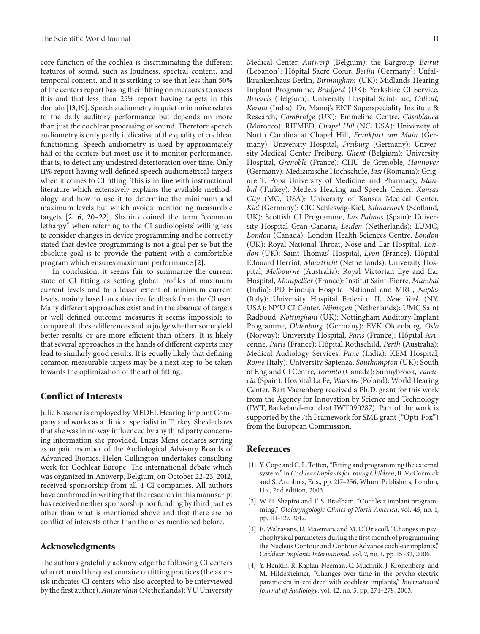core function of the cochlea is discriminating the different features of sound, such as loudness, spectral content, and temporal content, and it is striking to see that less than 50% of the centers report basing their fitting on measures to assess this and that less than 25% report having targets in this domain [\[13](#page-11-8),[19](#page-11-14)]. Speech audiometry in quiet or in noise relates to the daily auditory performance but depends on more than just the cochlear processing of sound. Therefore speech audiometry is only partly indicative of the quality of cochlear functioning. Speech audiometry is used by approximately half of the centers but most use it to monitor performance, that is, to detect any undesired deterioration over time. Only 11% report having well defined speech audiometrical targets when it comes to CI fitting. This is in line with instructional literature which extensively explains the available methodology and how to use it to determine the minimum and maximum levels but which avoids mentioning measurable targets [\[2,](#page-10-2) [6,](#page-11-1) [20](#page-11-15)[–22](#page-11-16)]. Shapiro coined the term "common lethargy" when referring to the CI audiologists' willingness to consider changes in device programming and he correctly stated that device programming is not a goal per se but the absolute goal is to provide the patient with a comfortable program which ensures maximum performance [\[2](#page-10-2)].

In conclusion, it seems fair to summarize the current state of CI fitting as setting global profiles of maximum current levels and to a lesser extent of minimum current levels, mainly based on subjective feedback from the CI user. Many different approaches exist and in the absence of targets or well defined outcome measures it seems impossible to compare all these differences and to judge whether some yield better results or are more efficient than others. It is likely that several approaches in the hands of different experts may lead to similarly good results. It is equally likely that defining common measurable targets may be a next step to be taken towards the optimization of the art of fitting.

## **Conflict of Interests**

Julie Kosaner is employed by MEDEL Hearing Implant Company and works as a clinical specialist in Turkey. She declares that she was in no way influenced by any third party concerning information she provided. Lucas Mens declares serving as unpaid member of the Audiological Advisory Boards of Advanced Bionics. Helen Cullington undertakes consulting work for Cochlear Europe. The international debate which was organized in Antwerp, Belgium, on October 22-23, 2012, received sponsorship from all 4 CI companies. All authors have confirmed in writing that the research in this manuscript has received neither sponsorship nor funding by third parties other than what is mentioned above and that there are no conflict of interests other than the ones mentioned before.

# **Acknowledgments**

The authors gratefully acknowledge the following CI centers who returned the questionnaire on fitting practices (the asterisk indicates CI centers who also accepted to be interviewed by the first author).*Amsterdam* (Netherlands): VU University

Medical Center, *Antwerp* (Belgium): the Eargroup, *Beirut* (Lebanon): Hôpital Sacré Cœur, *Berlin* (Germany): Unfallkrankenhaus Berlin, *Birmingham* (UK): Midlands Hearing Implant Programme, *Bradford* (UK): Yorkshire CI Service, *Brussels* (Belgium): University Hospital Saint-Luc, *Calicut*, *Kerala* (India): Dr. Manoj's ENT Superspeciality Institute & Research, *Cambridge* (UK): Emmeline Centre, *Casablanca* (Morocco): RIFMED, *Chapel Hill* (NC, USA): University of North Carolina at Chapel Hill, *Frankfurt am Main* (Germany): University Hospital, *Freiburg* (Germany): University Medical Center Freiburg, *Ghent* (Belgium): University Hospital, *Grenoble* (France): CHU de Grenoble, *Hannover* (Germany): Medizinische Hochschule, *Iasi* (Romania): Grigore T. Popa University of Medicine and Pharmacy, *Istanbul* (Turkey): Meders Hearing and Speech Center, *Kansas City* (MO, USA): University of Kansas Medical Center, *Kiel* (Germany): CIC Schleswig-Kiel, *Kilmarnock* (Scotland, UK): Scottish CI Programme, *Las Palmas* (Spain): University Hospital Gran Canaria, *Leiden* (Netherlands): LUMC, *London* (Canada): London Health Sciences Centre, *London* (UK): Royal National Throat, Nose and Ear Hospital, *London* (UK): Saint Thomas' Hospital, *Lyon* (France). Hôpital Edouard Herriot, *Maastricht* (Netherlands): University Hospital, *Melbourne* (Australia): Royal Victorian Eye and Ear Hospital, *Montpellier* (France): Institut Saint-Pierre, *Mumbai* (India): PD Hinduja Hospital National and MRC, *Naples* (Italy): University Hospital Federico II, *New York* (NY, USA): NYU CI Center, *Nijmegen* (Netherlands): UMC Saint Radboud, *Nottingham* (UK): Nottingham Auditory Implant Programme, *Oldenburg* (Germany): EVK Oldenburg, *Oslo* (Norway): University Hospital, *Paris* (France): Hôpital Avicenne, *Paris* (France): Hôpital Rothschild, *Perth* (Australia): Medical Audiology Services, *Pune* (India): KEM Hospital, *Rome* (Italy): University Sapienza, *Southampton* (UK): South of England CI Centre, *Toronto* (Canada): Sunnybrook, *Valencia* (Spain): Hospital La Fe, *Warsaw* (Poland): World Hearing Center. Bart Vaerenberg received a Ph.D. grant for this work from the Agency for Innovation by Science and Technology (IWT, Baekeland-mandaat IWT090287). Part of the work is supported by the 7th Framework for SME grant ("Opti-Fox") from the European Commission.

#### <span id="page-10-0"></span>**References**

- <span id="page-10-1"></span>[1] Y. Cope and C. L. Totten, "Fitting and programming the external system," in *Cochlear Implants for Young Children*, B. McCormick and S. Archbols, Eds., pp. 217–256, Whurr Publishers, London, UK, 2nd edition, 2003.
- <span id="page-10-2"></span>[2] W. H. Shapiro and T. S. Bradham, "Cochlear implant programming," *Otolaryngologic Clinics of North America*, vol. 45, no. 1, pp. 111–127, 2012.
- <span id="page-10-3"></span>[3] E. Walravens, D. Mawman, and M. O'Driscoll, "Changes in psychophysical parameters during the first month of programming the Nucleus Contour and Contour Advance cochlear implants," *Cochlear Implants International*, vol. 7, no. 1, pp. 15–32, 2006.
- [4] Y. Henkin, R. Kaplan-Neeman, C. Muchnik, J. Kronenberg, and M. Hildesheimer, "Changes over time in the psycho-electric parameters in children with cochlear implants," *International Journal of Audiology*, vol. 42, no. 5, pp. 274–278, 2003.